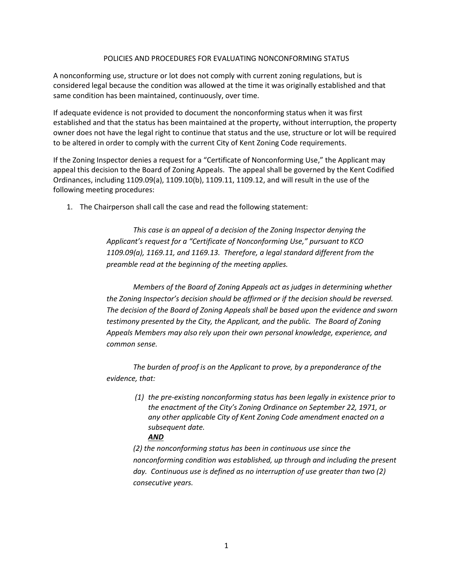## POLICIES AND PROCEDURES FOR EVALUATING NONCONFORMING STATUS

A nonconforming use, structure or lot does not comply with current zoning regulations, but is considered legal because the condition was allowed at the time it was originally established and that same condition has been maintained, continuously, over time.

If adequate evidence is not provided to document the nonconforming status when it was first established and that the status has been maintained at the property, without interruption, the property owner does not have the legal right to continue that status and the use, structure or lot will be required to be altered in order to comply with the current City of Kent Zoning Code requirements.

If the Zoning Inspector denies a request for a "Certificate of Nonconforming Use," the Applicant may appeal this decision to the Board of Zoning Appeals. The appeal shall be governed by the Kent Codified Ordinances, including 1109.09(a), 1109.10(b), 1109.11, 1109.12, and will result in the use of the following meeting procedures:

1. The Chairperson shall call the case and read the following statement:

*This case is an appeal of a decision of the Zoning Inspector denying the Applicant's request for a "Certificate of Nonconforming Use," pursuant to KCO 1109.09(a), 1169.11, and 1169.13. Therefore, a legal standard different from the preamble read at the beginning of the meeting applies.*

*Members of the Board of Zoning Appeals act as judges in determining whether the Zoning Inspector's decision should be affirmed or if the decision should be reversed. The decision of the Board of Zoning Appeals shall be based upon the evidence and sworn testimony presented by the City, the Applicant, and the public. The Board of Zoning Appeals Members may also rely upon their own personal knowledge, experience, and common sense.* 

*The burden of proof is on the Applicant to prove, by a preponderance of the evidence, that:*

> *(1) the pre-existing nonconforming status has been legally in existence prior to the enactment of the City's Zoning Ordinance on September 22, 1971, or any other applicable City of Kent Zoning Code amendment enacted on a subsequent date. AND*

> *(2) the nonconforming status has been in continuous use since the nonconforming condition was established, up through and including the present day. Continuous use is defined as no interruption of use greater than two (2) consecutive years.*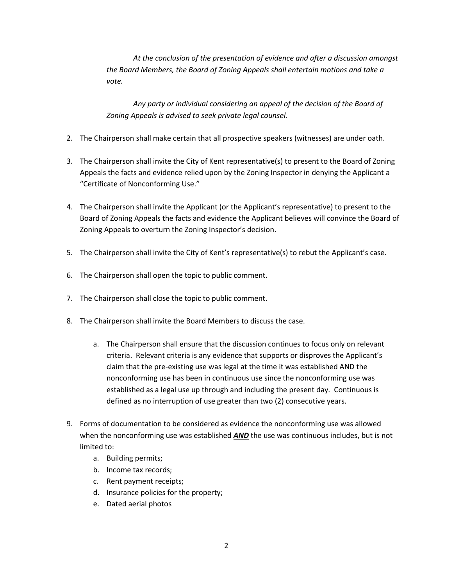*At the conclusion of the presentation of evidence and after a discussion amongst the Board Members, the Board of Zoning Appeals shall entertain motions and take a vote.* 

*Any party or individual considering an appeal of the decision of the Board of Zoning Appeals is advised to seek private legal counsel.* 

- 2. The Chairperson shall make certain that all prospective speakers (witnesses) are under oath.
- 3. The Chairperson shall invite the City of Kent representative(s) to present to the Board of Zoning Appeals the facts and evidence relied upon by the Zoning Inspector in denying the Applicant a "Certificate of Nonconforming Use."
- 4. The Chairperson shall invite the Applicant (or the Applicant's representative) to present to the Board of Zoning Appeals the facts and evidence the Applicant believes will convince the Board of Zoning Appeals to overturn the Zoning Inspector's decision.
- 5. The Chairperson shall invite the City of Kent's representative(s) to rebut the Applicant's case.
- 6. The Chairperson shall open the topic to public comment.
- 7. The Chairperson shall close the topic to public comment.
- 8. The Chairperson shall invite the Board Members to discuss the case.
	- a. The Chairperson shall ensure that the discussion continues to focus only on relevant criteria. Relevant criteria is any evidence that supports or disproves the Applicant's claim that the pre-existing use was legal at the time it was established AND the nonconforming use has been in continuous use since the nonconforming use was established as a legal use up through and including the present day*.* Continuous is defined as no interruption of use greater than two (2) consecutive years.
- 9. Forms of documentation to be considered as evidence the nonconforming use was allowed when the nonconforming use was established *AND* the use was continuous includes, but is not limited to:
	- a. Building permits;
	- b. Income tax records;
	- c. Rent payment receipts;
	- d. Insurance policies for the property;
	- e. Dated aerial photos